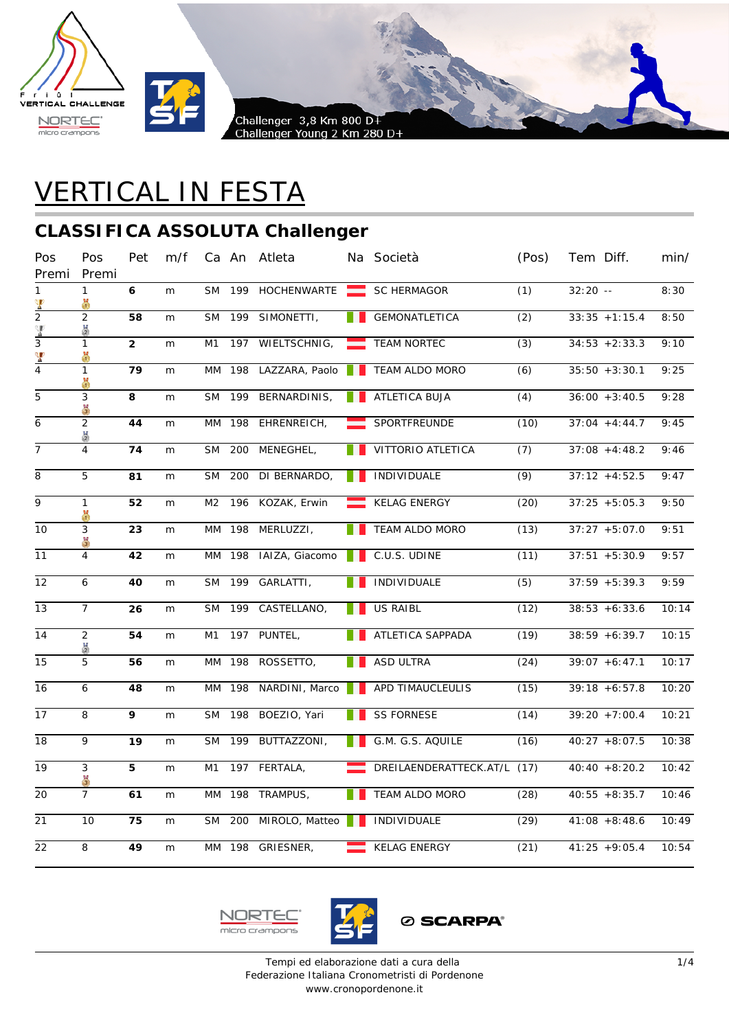



# VERTICAL IN FESTA

#### **CLASSIFICA ASSOLUTA Challenger**

| Pos<br>Premi    | Pos<br>Premi        | Pet             | m/f |                |        | Ca An Atleta                |      | Na Società                  | (Pos)            | Tem Diff.        | min/  |
|-----------------|---------------------|-----------------|-----|----------------|--------|-----------------------------|------|-----------------------------|------------------|------------------|-------|
| 1               | $\mathbf{1}$<br>X   | 6               | m   | <b>SM</b>      |        | 199 HOCHENWARTE SC HERMAGOR |      |                             | (1)              | $32:20 - -$      | 8:30  |
| $\frac{P}{2}$   | $\overline{2}$<br>품 | $\overline{58}$ | m   | <b>SM</b>      | 199    | SIMONETTI,                  |      | <b>GEMONATLETICA</b>        | $\overline{(2)}$ | $33:35 + 1:15.4$ | 8:50  |
| $\frac{4}{3}$   | $\mathbf{1}$<br>ă   | $\overline{2}$  | m   | M1             | 197    | WIELTSCHNIG,                | -    | <b>TEAM NORTEC</b>          | (3)              | $34:53 + 2:33.3$ | 9:10  |
| $\frac{q}{4}$   | $\mathbf{1}$<br>ö   | 79              | m   | МM             | 198    | LAZZARA, Paolo              |      | TEAM ALDO MORO              | (6)              | $35:50 + 3:30.1$ | 9:25  |
| $\overline{5}$  | 3<br>ă              | 8               | m   | <b>SM</b>      | 199    | BERNARDINIS,                | a ka | ATLETICA BUJA               | (4)              | $36:00 + 3:40.5$ | 9:28  |
| 6               | $\overline{2}$      | 44              | m   |                |        | MM 198 EHRENREICH,          |      | SPORTFREUNDE                | (10)             | $37:04 + 4:44.7$ | 9:45  |
| $\overline{7}$  | $\overline{4}$      | 74              | m   | <b>SM</b>      | 200    | MENEGHEL,                   |      | VITTORIO ATLETICA           | (7)              | $37:08 + 4:48.2$ | 9:46  |
| $\overline{8}$  | 5                   | 81              | m   | <b>SM</b>      | 200    | DI BERNARDO,                |      | INDIVIDUALE                 | (9)              | $37:12 + 4:52.5$ | 9:47  |
| $\overline{9}$  | $\mathbf{1}$<br>ö   | 52              | m   | M <sub>2</sub> |        | 196 KOZAK, Erwin            |      | <b>KELAG ENERGY</b>         | (20)             | $37:25 + 5:05.3$ | 9:50  |
| 10              | 3<br>ă              | 23              | m   |                |        | MM 198 MERLUZZI,            |      | TEAM ALDO MORO              | (13)             | $37:27 + 5:07.0$ | 9:51  |
| 11              | $\overline{4}$      | 42              | m   | MM             | 198    | IAIZA, Giacomo              |      | C.U.S. UDINE                | (11)             | $37:51 + 5:30.9$ | 9:57  |
| 12              | 6                   | 40              | m   | <b>SM</b>      | 199    | GARLATTI,                   |      | <b>INDIVIDUALE</b>          | (5)              | $37:59 + 5:39.3$ | 9:59  |
| 13              | $\overline{7}$      | 26              | m   | <b>SM</b>      | 199    | CASTELLANO,                 |      | <b>US RAIBL</b>             | (12)             | $38:53 + 6:33.6$ | 10:14 |
| 14              | $\overline{2}$<br>품 | 54              | m   | M1             |        | 197 PUNTEL,                 |      | ATLETICA SAPPADA            | (19)             | $38:59 + 6:39.7$ | 10:15 |
| $\overline{15}$ | 5                   | 56              | m   |                |        | MM 198 ROSSETTO,            |      | ASD ULTRA                   | (24)             | $39:07 + 6:47.1$ | 10:17 |
| 16              | 6                   | 48              | m   | MM             | 198    | NARDINI, Marco              |      | APD TIMAUCLEULIS            | (15)             | $39:18 + 6:57.8$ | 10:20 |
| 17              | 8                   | 9               | m   | <b>SM</b>      | 198    | BOEZIO, Yari                |      | <b>SS FORNESE</b>           | (14)             | $39:20 + 7:00.4$ | 10:21 |
| 18              | 9                   | 19              | m   | <b>SM</b>      | 199    | BUTTAZZONI,                 |      | G.M. G.S. AQUILE            | (16)             | $40:27 + 8:07.5$ | 10:38 |
| 19              | 3<br>$\frac{11}{3}$ | 5               | m   | M1             |        | 197 FERTALA,                |      | DREILAENDERATTECK.AT/L (17) |                  | $40:40 + 8:20.2$ | 10:42 |
| 20              | $\overline{7}$      | 61              | m   |                | MM 198 | TRAMPUS,                    |      | <b>TEAM ALDO MORO</b>       | (28)             | $40:55 + 8:35.7$ | 10:46 |
| $\overline{21}$ | 10                  | 75              | m   | <b>SM</b>      | 200    | MIROLO, Matteo              |      | INDIVIDUALE                 | (29)             | $41:08 + 8:48.6$ | 10:49 |
| $\overline{22}$ | 8                   | 49              | m   |                |        | MM 198 GRIESNER,            |      | <b>KELAG ENERGY</b>         | (21)             | $41:25 + 9:05.4$ | 10:54 |



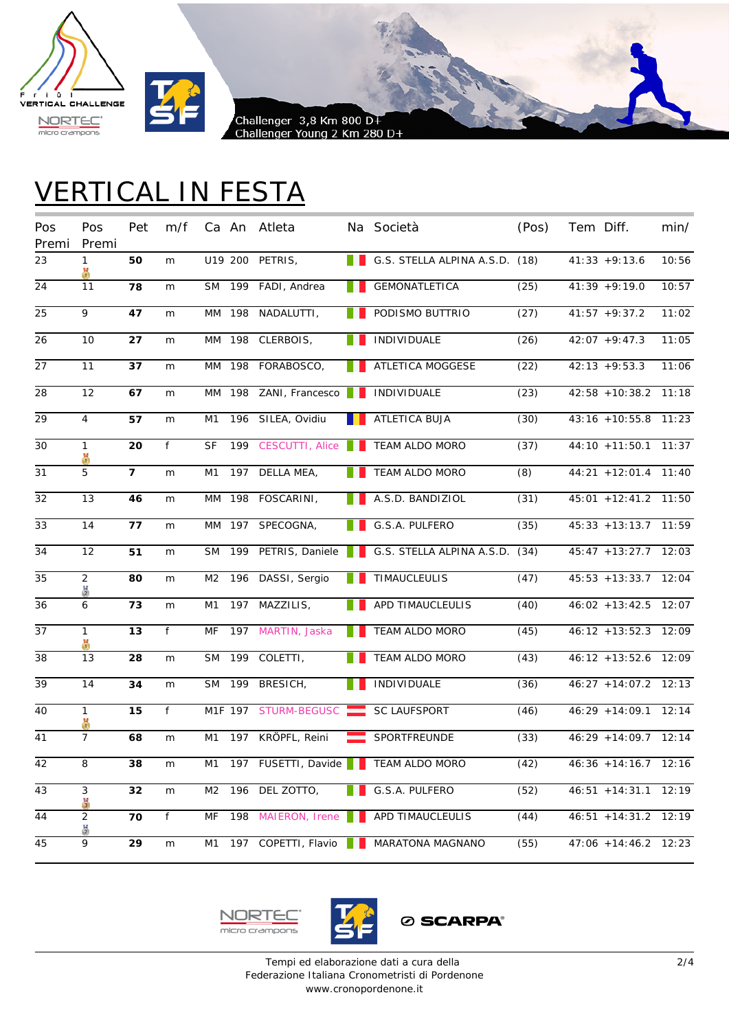



## VERTICAL IN FESTA

| Pos<br>Premi | Pos<br>Premi        | Pet            | m/f |                |        | Ca An Atleta           |    | Na Società                                         | (Pos) | Tem Diff.                     | min/  |
|--------------|---------------------|----------------|-----|----------------|--------|------------------------|----|----------------------------------------------------|-------|-------------------------------|-------|
| 23           | 1<br>ă              | 50             | m   |                |        | U19 200 PETRIS,        |    | G.S. STELLA ALPINA A.S.D. (18)                     |       | $41:33 + 9:13.6$              | 10:56 |
| 24           | 11                  | 78             | m   |                |        | SM 199 FADI, Andrea    | H. | GEMONATLETICA                                      | (25)  | $41:39 + 9:19.0$              | 10:57 |
| 25           | 9                   | 47             | m   |                | MM 198 | NADALUTTI,             |    | PODISMO BUTTRIO                                    | (27)  | $41:57 + 9:37.2$              | 11:02 |
| 26           | 10                  | 27             | m   |                | MM 198 | CLERBOIS,              |    | INDIVIDUALE                                        | (26)  | $42:07 + 9:47.3$              | 11:05 |
| 27           | 11                  | 37             | m   |                |        | MM 198 FORABOSCO,      |    | ATLETICA MOGGESE                                   | (22)  | $42:13 + 9:53.3$              | 11:06 |
| 28           | 12                  | 67             | m   |                |        | MM 198 ZANI, Francesco |    | <b>INDIVIDUALE</b>                                 | (23)  | 42:58 +10:38.2 11:18          |       |
| 29           | $\overline{4}$      | 57             | m   | M1             |        | 196 SILEA, Ovidiu      |    | ATLETICA BUJA                                      | (30)  | 43:16 +10:55.8 11:23          |       |
| 30           | $\mathbf{1}$<br>ö   | 20             | f   | SF             | 199    | CESCUTTI, Alice        |    | TEAM ALDO MORO                                     | (37)  | 44:10 +11:50.1 11:37          |       |
| 31           | 5                   | $\overline{7}$ | m   | M1             | 197    | DELLA MEA,             |    | TEAM ALDO MORO                                     | (8)   | $44:21 + 12:01.4$             | 11:40 |
| 32           | 13                  | 46             | m   |                |        | MM 198 FOSCARINI,      |    | A.S.D. BANDIZIOL                                   | (31)  | 45:01 +12:41.2 11:50          |       |
| 33           | 14                  | 77             | m   |                |        | MM 197 SPECOGNA,       |    | G.S.A. PULFERO                                     | (35)  | $45:33 + 13:13.7$ 11:59       |       |
| 34           | 12                  | 51             | m   |                |        |                        |    | SM 199 PETRIS, Daniele   G.S. STELLA ALPINA A.S.D. | (34)  | 45:47 +13:27.7 12:03          |       |
| 35           | $\overline{2}$      | 80             | m   | M <sub>2</sub> |        | 196 DASSI, Sergio      |    | TIMAUCLEULIS                                       | (47)  | 45:53 +13:33.7 12:04          |       |
| 36           | 6                   | 73             | m   | M1             | 197    | MAZZILIS,              |    | APD TIMAUCLEULIS                                   | (40)  | 46:02 +13:42.5 12:07          |       |
| 37           | $\mathbf{1}$        | 13             | f   | MF             |        | 197 MARTIN, Jaska      |    | TEAM ALDO MORO                                     | (45)  | 46:12 +13:52.3 12:09          |       |
| 38           | 13                  | 28             | m   | <b>SM</b>      | 199    | COLETTI,               |    | TEAM ALDO MORO                                     | (43)  | 46:12 +13:52.6 12:09          |       |
| 39           | 14                  | 34             | m   |                | SM 199 | BRESICH,               |    | INDIVIDUALE                                        | (36)  | 46:27 +14:07.2 12:13          |       |
| 40           | 1<br>X              | 15             | f   |                |        | M1F 197 STURM-BEGUSC   |    | <b>SC LAUFSPORT</b>                                | (46)  | $46:29 + 14:09.1$             | 12:14 |
| 41           | $\overline{7}$      | 68             | m   | M1             | 197    | KRÖPFL, Reini          |    | SPORTFREUNDE                                       | (33)  | 46:29 +14:09.7 12:14          |       |
| 42           | 8                   | 38             | m   | M1             |        | 197 FUSETTI, Davide    |    | TEAM ALDO MORO                                     | (42)  | $46:36 + 14:16.7$ 12:16       |       |
| 43           | 3<br>$\frac{17}{3}$ | 32             | m   | M <sub>2</sub> |        | 196 DEL ZOTTO,         |    | G.S.A. PULFERO                                     | (52)  | 46:51 +14:31.1 12:19          |       |
| 44           | 2<br>$\frac{11}{2}$ | 70             | f   | MF             |        | 198 MAIERON, Irene     |    | APD TIMAUCLEULIS                                   | (44)  | 46:51 +14:31.2 12:19          |       |
| 45           | 9                   | 29             | m   | M1             |        | 197 COPETTI, Flavio    |    | MARATONA MAGNANO                                   | (55)  | $47:06 + 14:46.2 \quad 12:23$ |       |

**NORT** F micro crampons



**Ø SCARPA®**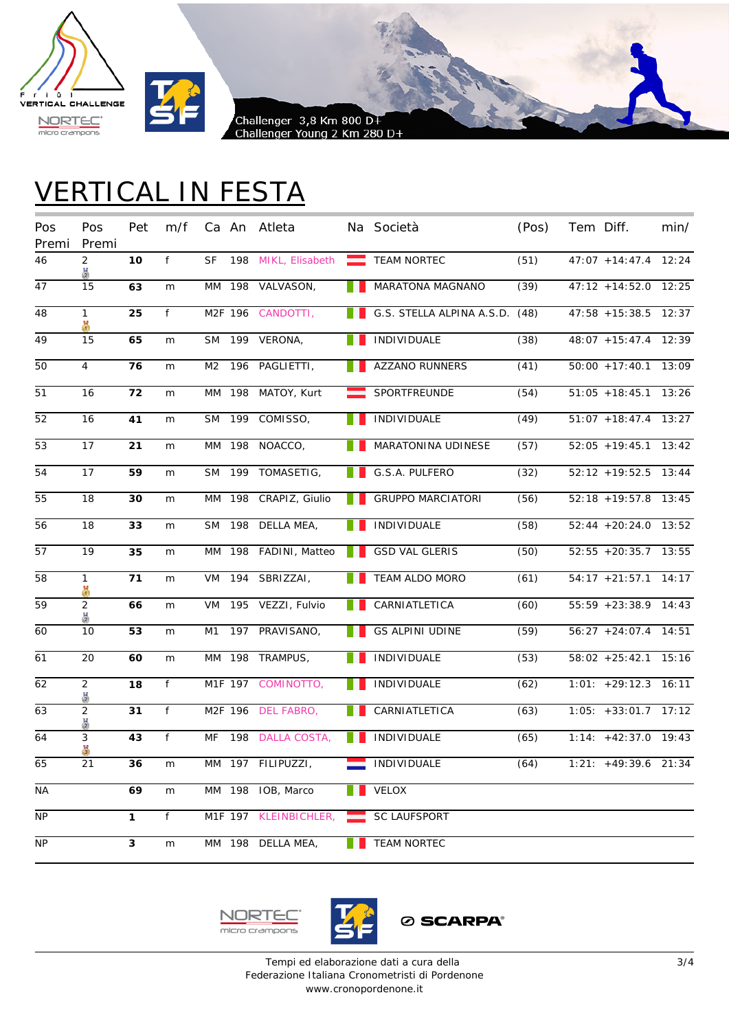



# VERTICAL IN FESTA

| Pos<br>Premi    | Pos<br>Premi        | Pet          | m/f |           |        | Ca An Atleta                    |   | Na Società                     | (Pos) | Tem Diff.               | min/  |
|-----------------|---------------------|--------------|-----|-----------|--------|---------------------------------|---|--------------------------------|-------|-------------------------|-------|
| 46              | $\overline{2}$<br>품 | 10           | f   | SF        |        | 198 MIKL, Elisabeth TEAM NORTEC |   |                                | (51)  | $47:07 + 14:47.4$       | 12:24 |
| 47              | 15                  | 63           | m   |           |        | MM 198 VALVASON,                |   | MARATONA MAGNANO               | (39)  | 47:12 +14:52.0 12:25    |       |
| 48              | $\mathbf{1}$<br>¥   | 25           | f   |           |        | M2F 196 CANDOTTI,               |   | G.S. STELLA ALPINA A.S.D. (48) |       | $47:58 + 15:38.5$       | 12:37 |
| 49              | 15                  | 65           | m   | <b>SM</b> |        | 199 VERONA,                     |   | INDIVIDUALE                    | (38)  | 48:07 +15:47.4 12:39    |       |
| 50              | $\overline{4}$      | 76           | m   | M2        |        | 196 PAGLIETTI,                  |   | AZZANO RUNNERS                 | (41)  | $50:00 + 17:40.1$ 13:09 |       |
| 51              | 16                  | 72           | m   |           | MM 198 | MATOY, Kurt                     | ▅ | SPORTFREUNDE                   | (54)  | $51:05 + 18:45.1$ 13:26 |       |
| 52              | 16                  | 41           | m   |           | SM 199 | COMISSO,                        |   | <b>INDIVIDUALE</b>             | (49)  | $51:07 + 18:47.4$ 13:27 |       |
| 53              | 17                  | 21           | m   |           | MM 198 | NOACCO,                         |   | MARATONINA UDINESE             | (57)  | $52:05 + 19:45.1$       | 13:42 |
| 54              | 17                  | 59           | m   | <b>SM</b> |        | 199 TOMASETIG,                  |   | G.S.A. PULFERO                 | (32)  | $52:12 + 19:52.5$       | 13:44 |
| 55              | 18                  | 30           | m   |           |        | MM 198 CRAPIZ, Giulio           |   | <b>GRUPPO MARCIATORI</b>       | (56)  | 52:18 +19:57.8 13:45    |       |
| 56              | 18                  | 33           | m   | <b>SM</b> | 198    | DELLA MEA,                      |   | INDIVIDUALE                    | (58)  | $52:44 + 20:24.0$ 13:52 |       |
| $\overline{57}$ | 19                  | 35           | m   |           |        | MM 198 FADINI, Matteo           |   | <b>GSD VAL GLERIS</b>          | (50)  | $52:55 + 20:35.7$ 13:55 |       |
| 58              | $\mathbf{1}$<br>ă   | 71           | m   | VM        |        | 194 SBRIZZAI,                   |   | TEAM ALDO MORO                 | (61)  | $54:17 + 21:57.1$ 14:17 |       |
| 59              | $\overline{2}$<br>ă | 66           | m   | VM        |        | 195 VEZZI, Fulvio               |   | CARNIATLETICA                  | (60)  | 55:59 +23:38.9 14:43    |       |
| 60              | 10                  | 53           | m   | M1        |        | 197 PRAVISANO,                  |   | <b>GS ALPINI UDINE</b>         | (59)  | $56:27 + 24:07.4$ 14:51 |       |
| 61              | 20                  | 60           | m   |           |        | MM 198 TRAMPUS,                 |   | INDIVIDUALE                    | (53)  | $58:02 + 25:42.1$ 15:16 |       |
| 62              | $\overline{2}$      | 18           | f   |           |        | M1F 197 COMINOTTO,              |   | <b>INDIVIDUALE</b>             | (62)  | $1:01: +29:12.3$        | 16:11 |
| 63              | $\overline{2}$      | 31           | f   |           |        | M2F 196 DEL FABRO,              |   | CARNIATLETICA                  | (63)  | $1:05: +33:01.7$ 17:12  |       |
| 64              | 3                   | 43           | f   | MF        |        | 198 DALLA COSTA,                |   | INDIVIDUALE                    | (65)  | $1:14: +42:37.0$ 19:43  |       |
| 65              | 21                  | 36           | m   |           |        | MM 197 FILIPUZZI,               |   | INDIVIDUALE                    | (64)  | $1:21: +49:39.6$ 21:34  |       |
| <b>NA</b>       |                     | 69           | m   |           |        | MM 198 IOB, Marco               |   | <b>VELOX</b>                   |       |                         |       |
| <b>NP</b>       |                     | $\mathbf{1}$ | f   |           |        | M1F 197 KLEINBICHLER,           |   | <b>SC LAUFSPORT</b>            |       |                         |       |
| NP.             |                     | 3            | m   |           |        | MM 198 DELLA MEA,               |   | <b>TEAM NORTEC</b>             |       |                         |       |